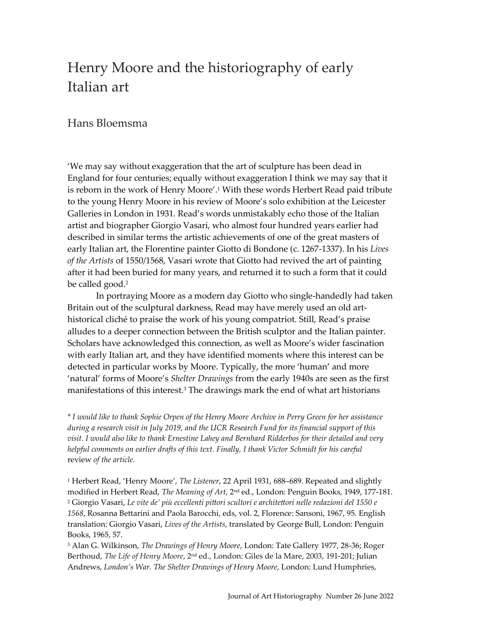# Henry Moore and the historiography of early Italian art

## Hans Bloemsma

'We may say without exaggeration that the art of sculpture has been dead in England for four centuries; equally without exaggeration I think we may say that it is reborn in the work of Henry Moore'.<sup>1</sup> With these words Herbert Read paid tribute to the young Henry Moore in his review of Moore's solo exhibition at the Leicester Galleries in London in 1931. Read's words unmistakably echo those of the Italian artist and biographer Giorgio Vasari, who almost four hundred years earlier had described in similar terms the artistic achievements of one of the great masters of early Italian art, the Florentine painter Giotto di Bondone (c. 1267-1337). In his *Lives of the Artists* of 1550/1568, Vasari wrote that Giotto had revived the art of painting after it had been buried for many years, and returned it to such a form that it could be called good.<sup>2</sup>

In portraying Moore as a modern day Giotto who single-handedly had taken Britain out of the sculptural darkness, Read may have merely used an old arthistorical cliché to praise the work of his young compatriot. Still, Read's praise alludes to a deeper connection between the British sculptor and the Italian painter. Scholars have acknowledged this connection, as well as Moore's wider fascination with early Italian art, and they have identified moments where this interest can be detected in particular works by Moore. Typically, the more 'human' and more 'natural' forms of Moore's *Shelter Drawings* from the early 1940s are seen as the first manifestations of this interest.<sup>3</sup> The drawings mark the end of what art historians

*\* I would like to thank Sophie Orpen of the Henry Moore Archive in Perry Green for her assistance during a research visit in July 2019, and the UCR Research Fund for its financial support of this visit. I would also like to thank Ernestine Lahey and Bernhard Ridderbos for their detailed and very helpful comments on earlier drafts of this text. Finally, I thank Victor Schmidt for his careful*  review *of the article.*

<sup>1</sup> Herbert Read, 'Henry Moore', *The Listener*, 22 April 1931, 688–689. Repeated and slightly modified in Herbert Read, *The Meaning of Art,* 2 nd ed., London: Penguin Books, 1949, 177-181. <sup>2</sup> Giorgio Vasari, *Le vite de' 1550 e 1568*, Rosanna Bettarini and Paola Barocchi, eds, vol. 2, Florence: Sansoni, 1967, 95. English translation: Giorgio Vasari, *Lives of the Artists*, translated by George Bull, London: Penguin Books, 1965, 57.

<sup>3</sup> Alan G. Wilkinson, *The Drawings of Henry Moore*, London: Tate Gallery 1977, 28-36; Roger Berthoud, *The Life of Henry Moore*, 2nd ed., London: Giles de la Mare, 2003, 191-201; Julian Andrews, London's War. The Shelter Drawings of Henry Moore, London: Lund Humphries,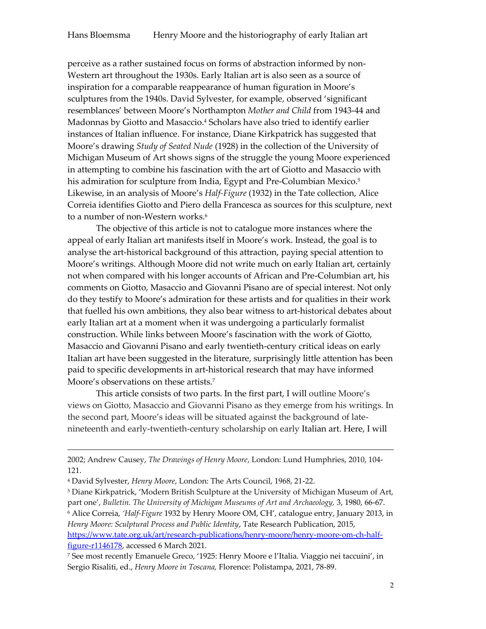perceive as a rather sustained focus on forms of abstraction informed by non-Western art throughout the 1930s. Early Italian art is also seen as a source of inspiration for a comparable reappearance of human figuration in Moore's sculptures from the 1940s. David Sylvester, for example, observed 'significant resemblances' between Moore's Northampton *Mother and Child* from 1943-44 and Madonnas by Giotto and Masaccio.<sup>4</sup> Scholars have also tried to identify earlier instances of Italian influence. For instance, Diane Kirkpatrick has suggested that Moore's drawing *Study of Seated Nude* (1928) in the collection of the University of Michigan Museum of Art shows signs of the struggle the young Moore experienced in attempting to combine his fascination with the art of Giotto and Masaccio with his admiration for sculpture from India, Egypt and Pre-Columbian Mexico.<sup>5</sup> Likewise, in an analysis of Moore's *Half-Figure* (1932) in the Tate collection, Alice Correia identifies Giotto and Piero della Francesca as sources for this sculpture, next to a number of non-Western works.<sup>6</sup>

The objective of this article is not to catalogue more instances where the appeal of early Italian art manifests itself in Moore's work. Instead, the goal is to analyse the art-historical background of this attraction, paying special attention to Moore's writings. Although Moore did not write much on early Italian art, certainly not when compared with his longer accounts of African and Pre-Columbian art, his comments on Giotto, Masaccio and Giovanni Pisano are of special interest. Not only do they testify to Moore's admiration for these artists and for qualities in their work that fuelled his own ambitions, they also bear witness to art-historical debates about early Italian art at a moment when it was undergoing a particularly formalist construction. While links between Moore's fascination with the work of Giotto, Masaccio and Giovanni Pisano and early twentieth-century critical ideas on early Italian art have been suggested in the literature, surprisingly little attention has been paid to specific developments in art-historical research that may have informed Moore's observations on these artists.<sup>7</sup>

This article consists of two parts. In the first part, I will outline Moore's views on Giotto, Masaccio and Giovanni Pisano as they emerge from his writings. In the second part, Moore's ideas will be situated against the background of latenineteenth and early-twentieth-century scholarship on early Italian art. Here, I will

**.** 

<sup>2002;</sup> Andrew Causey, *The Drawings of Henry Moore*, London: Lund Humphries, 2010, 104- 121.

<sup>4</sup> David Sylvester, *Henry Moore*, London: The Arts Council, 1968, 21-22.

<sup>5</sup> Diane Kirkpatrick, 'Modern British Sculpture at the University of Michigan Museum of Art, part one', *Bulletin. The University of Michigan Museums of Art and Archaeology,* 3, 1980, 66-67. <sup>6</sup> Alice Correia, *'H f-Figure* 1932 by Henry Moore OM, CH', catalogue entry, January 2013, in *Henry Moore: Sculptural Process and Public Identity*, Tate Research Publication, 2015, [https://www.tate.org.uk/art/research-publications/henry-moore/henry-moore-om-ch-half](https://www.tate.org.uk/art/research-publications/henry-moore/henry-moore-om-ch-half-figure-r1146178)[figure-r1146178,](https://www.tate.org.uk/art/research-publications/henry-moore/henry-moore-om-ch-half-figure-r1146178) accessed 6 March 2021.

<sup>7</sup> See most recently Emanuele Greco, '1925: Henry Moore e l'Italia. Viaggio nei taccuini', in Sergio Risaliti, ed., *Henry Moore in Toscana,* Florence: Polistampa, 2021, 78-89.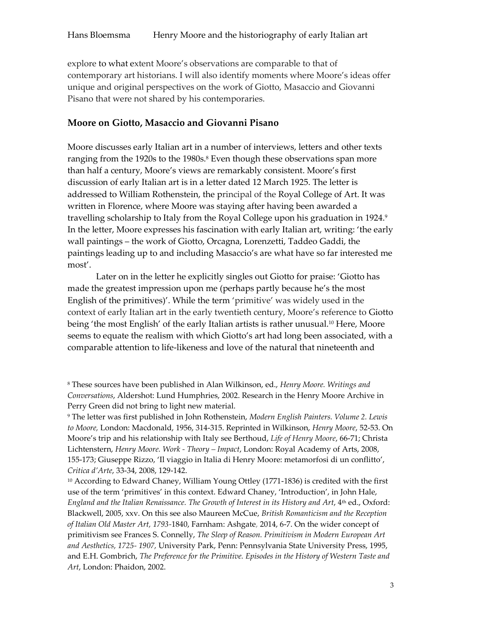explore to what extent Moore's observations are comparable to that of contemporary art historians. I will also identify moments where Moore's ideas offer unique and original perspectives on the work of Giotto, Masaccio and Giovanni Pisano that were not shared by his contemporaries.

#### **Moore on Giotto, Masaccio and Giovanni Pisano**

Moore discusses early Italian art in a number of interviews, letters and other texts ranging from the 1920s to the 1980s.<sup>8</sup> Even though these observations span more than half a century, Moore's views are remarkably consistent. Moore's first discussion of early Italian art is in a letter dated 12 March 1925. The letter is addressed to William Rothenstein, the principal of the Royal College of Art. It was written in Florence, where Moore was staying after having been awarded a travelling scholarship to Italy from the Royal College upon his graduation in 1924.9 In the letter, Moore expresses his fascination with early Italian art, writing: 'the early wall paintings – the work of Giotto, Orcagna, Lorenzetti, Taddeo Gaddi, the paintings leading up to and including Masaccio's are what have so far interested me most'.

Later on in the letter he explicitly singles out Giotto for praise: 'Giotto has made the greatest impression upon me (perhaps partly because he's the most English of the primitives)'. While the term 'primitive' was widely used in the context of early Italian art in the early twentieth century, Moore's reference to Giotto being 'the most English' of the early Italian artists is rather unusual.<sup>10</sup> Here, Moore seems to equate the realism with which Giotto's art had long been associated, with a comparable attention to life-likeness and love of the natural that nineteenth and

<sup>8</sup> These sources have been published in Alan Wilkinson, ed., *Henry Moore. Writings and Conversations*, Aldershot: Lund Humphries, 2002. Research in the Henry Moore Archive in Perry Green did not bring to light new material.

<sup>9</sup> The letter was first published in John Rothenstein, *Modern English Painters. Volume 2. Lewis to Moore,* London: Macdonald, 1956, 314-315. Reprinted in Wilkinson, *Henry Moore*, 52-53. On Moore's trip and his relationship with Italy see Berthoud, *Life of Henry Moore*, 66-71; Christa Lichtenstern, *Henry Moore. Work - Theory – Impact*, London: Royal Academy of Arts, 2008, 155-173[; Giuseppe](http://catalogue.henry-moore.org/search/*/bibliography?filter=heading%3ARIZZO%20Giuseppe) Rizzo, 'Il viaggio in Italia di Henry Moore: metamorfosi di un conflitto', Critica d'Arte, 33-34, 2008, 129-142.

<sup>10</sup> According to Edward Chaney, William Young Ottley (1771-1836) is credited with the first use of the term 'primitives' in this context. Edward Chaney, 'Introduction', in John Hale, *England and the Italian Renaissance. The Growth of Interest in its History and Art*, 4th ed., Oxford: Blackwell, 2005, xxv. On this see also Maureen McCue, *British Romanticism and the Reception of Italian Old Master Art, 1793-*1840, Farnham: Ashgate, 2014, 6-7. On the wider concept of primitivism see Frances S. Connelly, *The Sleep of Reason. Primitivism in Modern European Art and Aesthetics, 1725- 1907,* University Park, Penn: Pennsylvania State University Press, 1995, and E.H. Gombrich, *The Preference for the Primitive. Episodes in the History of Western Taste and Art*, London: Phaidon, 2002.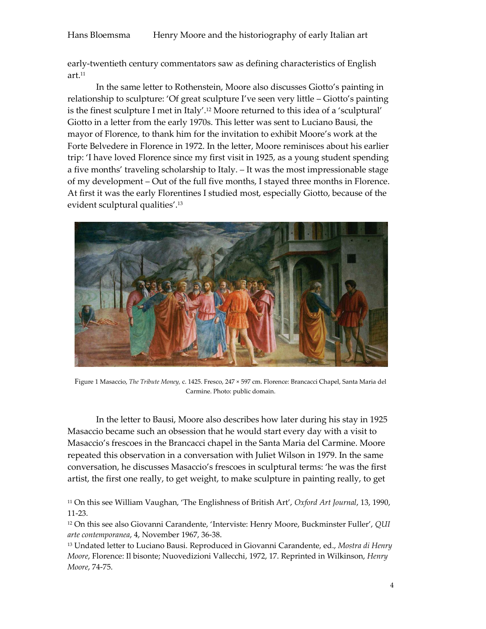### Hans Bloemsma Henry Moore and the historiography of early Italian art

early-twentieth century commentators saw as defining characteristics of English art.<sup>11</sup>

In the same letter to Rothenstein, Moore also discusses Giotto's painting in relationship to sculpture: 'Of great sculpture I've seen very little – Giotto's painting is the finest sculpture I met in Italy'.<sup>12</sup> Moore returned to this idea of a 'sculptural' Giotto in a letter from the early 1970s. This letter was sent to Luciano Bausi, the mayor of Florence, to thank him for the invitation to exhibit Moore's work at the Forte Belvedere in Florence in 1972. In the letter, Moore reminisces about his earlier trip: 'I have loved Florence since my first visit in 1925, as a young student spending a five months' traveling scholarship to Italy. – It was the most impressionable stage of my development – Out of the full five months, I stayed three months in Florence. At first it was the early Florentines I studied most, especially Giotto, because of the evident sculptural qualities'.<sup>13</sup>



Figure 1 Masaccio, *The Tribute Money,* c. 1425. Fresco, 247 × 597 cm. Florence: Brancacci Chapel, Santa Maria del Carmine. Photo: public domain.

In the letter to Bausi, Moore also describes how later during his stay in 1925 Masaccio became such an obsession that he would start every day with a visit to Masaccio's frescoes in the Brancacci chapel in the Santa Maria del Carmine. Moore repeated this observation in a conversation with Juliet Wilson in 1979. In the same conversation, he discusses Masaccio's frescoes in sculptural terms: 'he was the first artist, the first one really, to get weight, to make sculpture in painting really, to get

<sup>11</sup> On this see William Vaughan, 'The Englishness of British Art', *Oxford Art Journal*, 13, 1990, 11-23.

<sup>12</sup> On this see also Giovanni Carandente, 'Interviste: Henry Moore, Buckminster Fuller', *[QUI](http://catalogue.henry-moore.org/search/*/bibliography?filter=series%3AQui%20Arte%20Contemporanea)  [arte contemporanea](http://catalogue.henry-moore.org/search/*/bibliography?filter=series%3AQui%20Arte%20Contemporanea)*, 4, November [1967,](http://catalogue.henry-moore.org/search/*/bibliography?filter=yearPublished%3A1967) 36-38.

<sup>13</sup> Undated letter to Luciano Bausi. Reproduced in Giovanni Carandente, ed., *Mostra di Henry Moore*, Florence: Il bisonte; Nuovedizioni Vallecchi, 1972, 17. Reprinted in Wilkinson, *Henry Moore*, 74-75.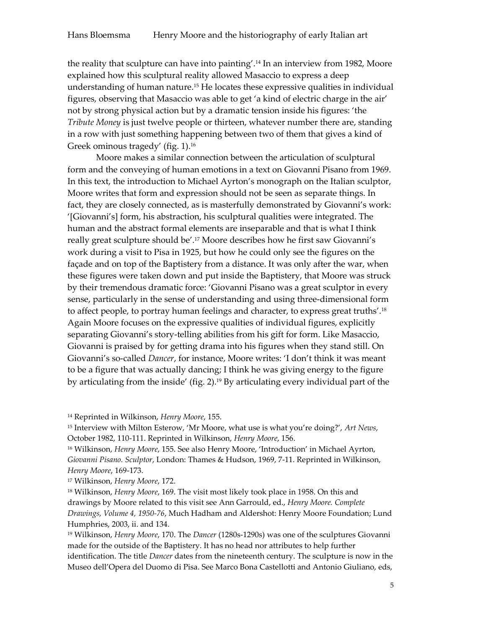the reality that sculpture can have into painting'.<sup>14</sup> In an interview from 1982, Moore explained how this sculptural reality allowed Masaccio to express a deep understanding of human nature.<sup>15</sup> He locates these expressive qualities in individual figures, observing that Masaccio was able to get 'a kind of electric charge in the air' not by strong physical action but by a dramatic tension inside his figures: 'the *Tribute Money* is just twelve people or thirteen, whatever number there are, standing in a row with just something happening between two of them that gives a kind of Greek ominous tragedy' (fig. 1). 16

Moore makes a similar connection between the articulation of sculptural form and the conveying of human emotions in a text on Giovanni Pisano from 1969. In this text, the introduction to Michael Ayrton's monograph on the Italian sculptor, Moore writes that form and expression should not be seen as separate things. In fact, they are closely connected, as is masterfully demonstrated by Giovanni's work: '[Giovanni's] form, his abstraction, his sculptural qualities were integrated. The human and the abstract formal elements are inseparable and that is what I think really great sculpture should be'.<sup>17</sup> Moore describes how he first saw Giovanni's work during a visit to Pisa in 1925, but how he could only see the figures on the façade and on top of the Baptistery from a distance. It was only after the war, when these figures were taken down and put inside the Baptistery, that Moore was struck by their tremendous dramatic force: 'Giovanni Pisano was a great sculptor in every sense, particularly in the sense of understanding and using three-dimensional form to affect people, to portray human feelings and character, to express great truths'.<sup>18</sup> Again Moore focuses on the expressive qualities of individual figures, explicitly separating Giovanni's story-telling abilities from his gift for form. Like Masaccio, Giovanni is praised by for getting drama into his figures when they stand still. On Giovanni's so-called *Dancer*, for instance, Moore writes: 'I don't think it was meant to be a figure that was actually dancing; I think he was giving energy to the figure by articulating from the inside' (fig. 2). <sup>19</sup> By articulating every individual part of the

<sup>14</sup> Reprinted in Wilkinson, *Henry Moore*, 155.

<sup>15</sup> Interview with Milton Esterow, 'Mr Moore, what use is what you're doing?', *Art News*, October 1982, 110-111. Reprinted in Wilkinson, *Henry Moore*, 156.

<sup>16</sup> Wilkinson, *Henry Moore*, 155. See also Henry Moore, 'Introduction' in Michael Ayrton, *Giovanni Pisano. Sculptor*, London: Thames & Hudson, 1969, 7-11. Reprinted in Wilkinson, *Henry Moore*, 169-173.

<sup>17</sup> Wilkinson, *Henry Moore*, 172.

<sup>18</sup> Wilkinson, *Henry Moore*, 169. The visit most likely took place in 1958. On this and drawings by Moore related to this visit see Ann Garrould, ed., *[Henry Moore. Complete](https://catalogue.henry-moore.org/bibliography/3953/henry-moore-complete-drawings-volume-4-195076-edited-by)  [Drawings, Volume](https://catalogue.henry-moore.org/bibliography/3953/henry-moore-complete-drawings-volume-4-195076-edited-by) 4, 1950-76*, Much Hadham and Aldershot: Henry Moore Foundation; Lund Humphries, 2003, ii. and 134.

<sup>19</sup> Wilkinson, *Henry Moore*, 170. The *Dancer* (1280s-1290s) was one of the sculptures Giovanni made for the outside of the Baptistery. It has no head nor attributes to help further identification. The title *Dancer* dates from the nineteenth century. The sculpture is now in the Museo dell'Opera del Duomo di Pisa. See Marco Bona Castellotti and Antonio Giuliano, eds,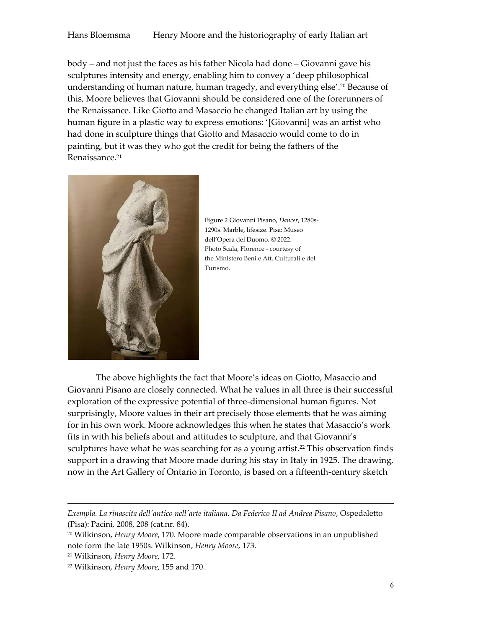body – and not just the faces as his father Nicola had done – Giovanni gave his sculptures intensity and energy, enabling him to convey a 'deep philosophical understanding of human nature, human tragedy, and everything else'.<sup>20</sup> Because of this, Moore believes that Giovanni should be considered one of the forerunners of the Renaissance. Like Giotto and Masaccio he changed Italian art by using the human figure in a plastic way to express emotions: '[Giovanni] was an artist who had done in sculpture things that Giotto and Masaccio would come to do in painting, but it was they who got the credit for being the fathers of the Renaissance.<sup>21</sup>



Figure 2 Giovanni Pisano, *Dancer*, 1280s-1290s. Marble, lifesize. Pisa: Museo dell'Opera del Duomo. © 2022. Photo Scala, Florence - courtesy of the Ministero Beni e Att. Culturali e del Turismo.

The above highlights the fact that Moore's ideas on Giotto, Masaccio and Giovanni Pisano are closely connected. What he values in all three is their successful exploration of the expressive potential of three-dimensional human figures. Not surprisingly, Moore values in their art precisely those elements that he was aiming for in his own work. Moore acknowledges this when he states that Masaccio's work fits in with his beliefs about and attitudes to sculpture, and that Giovanni's sculptures have what he was searching for as a young artist.<sup>22</sup> This observation finds support in a drawing that Moore made during his stay in Italy in 1925. The drawing, now in the Art Gallery of Ontario in Toronto, is based on a fifteenth-century sketch

**.** 

*Exempla. La rinascita dell'antico nell'arte italiana. Da Federico II ad Andrea Pisano*, Ospedaletto (Pisa): Pacini, 2008, 208 (cat.nr. 84).

<sup>20</sup> Wilkinson, *Henry Moore*, 170. Moore made comparable observations in an unpublished note form the late 1950s. Wilkinson, *Henry Moore*, 173.

<sup>21</sup> Wilkinson, *Henry Moore*, 172.

<sup>22</sup> Wilkinson, *Henry Moore*, 155 and 170.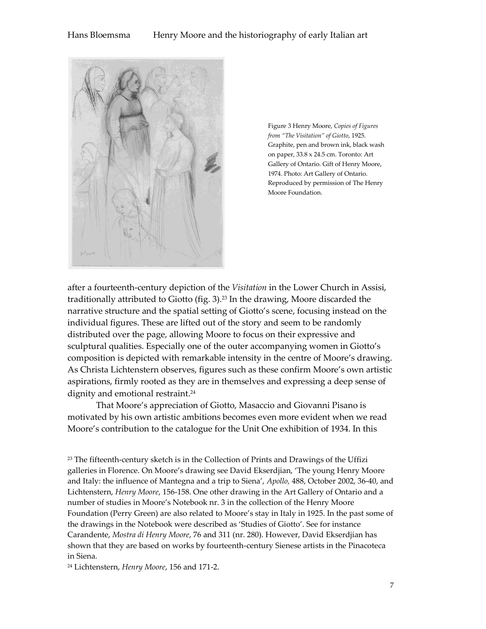

Figure 3 Henry Moore, *Copies of Figures from "The Visitation" of Giotto, 1925.* Graphite, pen and brown ink, black wash on paper, 33.8 x 24.5 cm. Toronto: Art Gallery of Ontario. Gift of Henry Moore, 1974. Photo: Art Gallery of Ontario. Reproduced by permission of The Henry Moore Foundation.

after a fourteenth-century depiction of the *Visitation* in the Lower Church in Assisi, traditionally attributed to Giotto (fig. 3).<sup>23</sup> In the drawing, Moore discarded the narrative structure and the spatial setting of Giotto's scene, focusing instead on the individual figures. These are lifted out of the story and seem to be randomly distributed over the page, allowing Moore to focus on their expressive and sculptural qualities. Especially one of the outer accompanying women in Giotto's composition is depicted with remarkable intensity in the centre of Moore's drawing. As Christa Lichtenstern observes, figures such as these confirm Moore's own artistic aspirations, firmly rooted as they are in themselves and expressing a deep sense of dignity and emotional restraint. 24

That Moore's appreciation of Giotto, Masaccio and Giovanni Pisano is motivated by his own artistic ambitions becomes even more evident when we read Moore's contribution to the catalogue for the Unit One exhibition of 1934. In this

<sup>23</sup> The fifteenth-century sketch is in the Collection of Prints and Drawings of the Uffizi galleries in Florence. [On Moore's drawing see David Ekserdjian,](http://catalogue.henry-moore.org/search/*/bibliography;jsessionid=4753E579B0065AD672B6ABA664FED9BD?filter=heading%3AEKSERDJIAN%20David.) 'The young Henry Moore and Italy: the influence of Mantegna and a trip to Siena', *[Apollo,](http://catalogue.henry-moore.org/search/*/bibliography;jsessionid=4753E579B0065AD672B6ABA664FED9BD?filter=series%3AApollo)* 488, Octobe[r 2002,](http://catalogue.henry-moore.org/search/*/bibliography;jsessionid=4753E579B0065AD672B6ABA664FED9BD?filter=yearPublished%3A2002) 36-40, and Lichtenstern, *Henry Moore*, 156-158. One other drawing in the Art Gallery of Ontario and a number of studies in Moore's Notebook nr. 3 in the collection of the Henry Moore Foundation (Perry Green) are also related to Moore's stay in Italy in 1925. In the past some of the drawings in the Notebook were described as 'Studies of Giotto'. See for instance Carandente, *Mostra di Henry Moore*, 76 and 311 (nr. 280). However, Davi[d Ekserdjian has](http://catalogue.henry-moore.org/search/*/bibliography;jsessionid=4753E579B0065AD672B6ABA664FED9BD?filter=heading%3AEKSERDJIAN%20David.)  [shown that they are based on works by fourteenth-century Sienese artists in the Pinacoteca](http://catalogue.henry-moore.org/search/*/bibliography;jsessionid=4753E579B0065AD672B6ABA664FED9BD?filter=heading%3AEKSERDJIAN%20David.)  in [Siena.](http://catalogue.henry-moore.org/search/*/bibliography;jsessionid=4753E579B0065AD672B6ABA664FED9BD?filter=heading%3AEKSERDJIAN%20David.)

<sup>24</sup> Lichtenstern, *Henry Moore*, 156 and 171-2.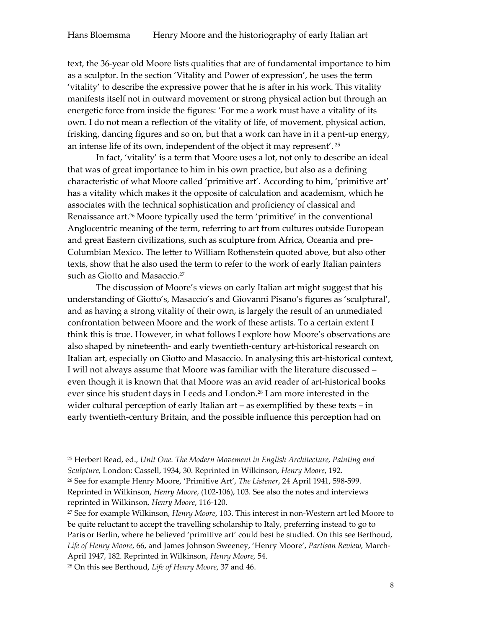text, the 36-year old Moore lists qualities that are of fundamental importance to him as a sculptor. In the section 'Vitality and Power of expression', he uses the term 'vitality' to describe the expressive power that he is after in his work. This vitality manifests itself not in outward movement or strong physical action but through an energetic force from inside the figures: 'For me a work must have a vitality of its own. I do not mean a reflection of the vitality of life, of movement, physical action, frisking, dancing figures and so on, but that a work can have in it a pent-up energy, an intense life of its own, independent of the object it may represent'. <sup>25</sup>

In fact, 'vitality' is a term that Moore uses a lot, not only to describe an ideal that was of great importance to him in his own practice, but also as a defining characteristic of what Moore called 'primitive art'. According to him, 'primitive art' has a vitality which makes it the opposite of calculation and academism, which he associates with the technical sophistication and proficiency of classical and Renaissance art.<sup>26</sup> Moore typically used the term 'primitive' in the conventional Anglocentric meaning of the term, referring to art from cultures outside European and great Eastern civilizations, such as sculpture from Africa, Oceania and pre-Columbian Mexico. The letter to William Rothenstein quoted above, but also other texts, show that he also used the term to refer to the work of early Italian painters such as Giotto and Masaccio.<sup>27</sup>

The discussion of Moore's views on early Italian art might suggest that his understanding of Giotto's, Masaccio's and Giovanni Pisano's figures as 'sculptural', and as having a strong vitality of their own, is largely the result of an unmediated confrontation between Moore and the work of these artists. To a certain extent I think this is true. However, in what follows I explore how Moore's observations are also shaped by nineteenth- and early twentieth-century art-historical research on Italian art, especially on Giotto and Masaccio. In analysing this art-historical context, I will not always assume that Moore was familiar with the literature discussed – even though it is known that that Moore was an avid reader of art-historical books ever since his student days in Leeds and London.<sup>28</sup> I am more interested in the wider cultural perception of early Italian art – as exemplified by these texts – in early twentieth-century Britain, and the possible influence this perception had on

<sup>25</sup> Herbert Read, ed., *Unit One. The Modern Movement in English Architecture, Painting and Sculpture,* London: Cassell, 1934, 30. Reprinted in Wilkinson, *Henry Moore*, 192. <sup>26</sup> See for example Henry Moore, 'Primitive Art', *The Listener*, 24 April 1941, 598-599. Reprinted in Wilkinson, *Henry Moore*, (102-106), 103. See also the notes and interviews reprinted in Wilkinson, *Henry Moore*, 116-120.

<sup>27</sup> See for example Wilkinson, *Henry Moore*, 103. This interest in non-Western art led Moore to be quite reluctant to accept the travelling scholarship to Italy, preferring instead to go to Paris or Berlin, where he believed 'primitive art' could best be studied. On this see Berthoud, *Life of Henry Moore*, 66, and James Johnson Sweeney, 'Henry Moore', *Partisan Review,* March-April 1947, 182. Reprinted in Wilkinson, *Henry Moore*, 54.

<sup>28</sup> On this see Berthoud, *Life of Henry Moore*, 37 and 46.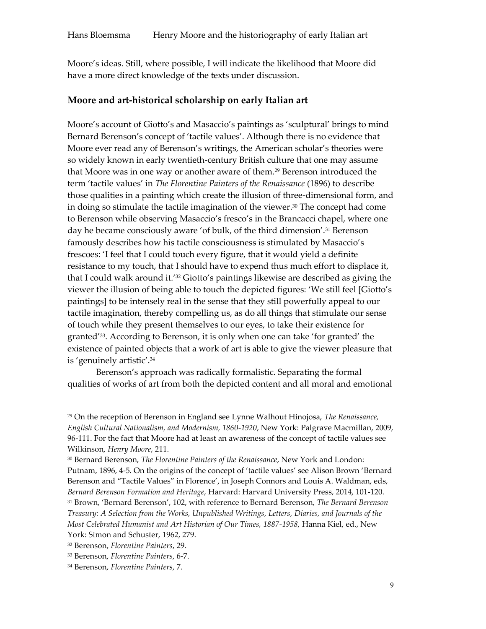Moore's ideas. Still, where possible, I will indicate the likelihood that Moore did have a more direct knowledge of the texts under discussion.

#### **Moore and art-historical scholarship on early Italian art**

Moore's account of Giotto's and Masaccio's paintings as 'sculptural' brings to mind Bernard Berenson's concept of 'tactile values'. Although there is no evidence that Moore ever read any of Berenson's writings, the American scholar's theories were so widely known in early twentieth-century British culture that one may assume that Moore was in one way or another aware of them.<sup>29</sup> Berenson introduced the term 'tactile values' in *The Florentine Painters of the Renaissance* (1896) to describe those qualities in a painting which create the illusion of three-dimensional form, and in doing so stimulate the tactile imagination of the viewer.<sup>30</sup> The concept had come to Berenson while observing Masaccio's fresco's in the Brancacci chapel, where one day he became consciously aware 'of bulk, of the third dimension'.<sup>31</sup> Berenson famously describes how his tactile consciousness is stimulated by Masaccio's frescoes: 'I feel that I could touch every figure, that it would yield a definite resistance to my touch, that I should have to expend thus much effort to displace it, that I could walk around it.'<sup>32</sup> Giotto's paintings likewise are described as giving the viewer the illusion of being able to touch the depicted figures: 'We still feel [Giotto's paintings] to be intensely real in the sense that they still powerfully appeal to our tactile imagination, thereby compelling us, as do all things that stimulate our sense of touch while they present themselves to our eyes, to take their existence for granted'33. According to Berenson, it is only when one can take 'for granted' the existence of painted objects that a work of art is able to give the viewer pleasure that is 'genuinely artistic'.<sup>34</sup>

Berenson's approach was radically formalistic. Separating the formal qualities of works of art from both the depicted content and all moral and emotional

<sup>29</sup> On the reception of Berenson in England see Lynne Walhout Hinojosa, *The Renaissance, English Cultural Nationalism, and Modernism, 1860-1920*, New York: Palgrave Macmillan, 2009, 96-111. For the fact that Moore had at least an awareness of the concept of tactile values see Wilkinson, *Henry Moore*, 211.

<sup>30</sup> Bernard Berenson, *The Florentine Painters of the Renaissance*, New York and London: Putnam, 1896, 4-5. On the origins of the concept of 'tactile values' see Alison Brown 'Bernard Berenson and "Tactile Values" in Florence', in [Joseph Connors](http://www.hup.harvard.edu/results-list.php?author=13650) and [Louis A. Waldman,](http://www.hup.harvard.edu/results-list.php?author=15184) eds, *Bernard Berenson Formation and Heritage*, Harvard: Harvard University Press, 2014, 101-120. <sup>31</sup> Brown, 'Bernard Berenson', 102, with reference to Bernard Berenson, *The Bernard Berenson Treasury: A Selection from the Works, Unpublished Writings, Letters, Diaries, and Journals of the Most Celebrated Humanist and Art Historian of Our Times, 1887-1958,* Hanna Kiel, ed., New York: Simon and Schuster, 1962, 279.

<sup>32</sup> Berenson, *Florentine Painters*, 29.

<sup>33</sup> Berenson, *Florentine Painters*, 6-7.

<sup>34</sup> Berenson, *Florentine Painters*, 7.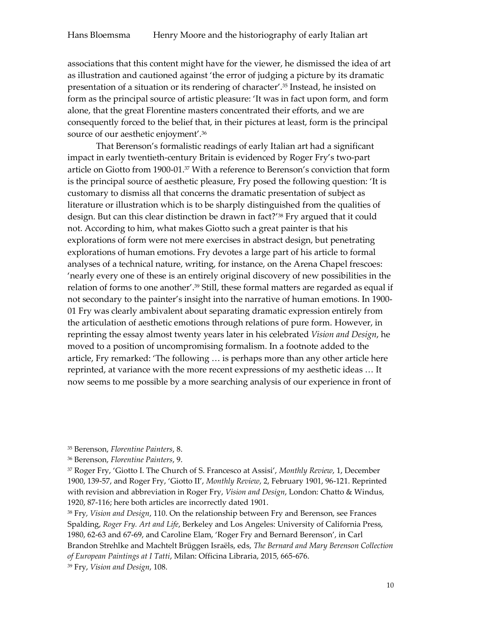associations that this content might have for the viewer, he dismissed the idea of art as illustration and cautioned against 'the error of judging a picture by its dramatic presentation of a situation or its rendering of character'.<sup>35</sup> Instead, he insisted on form as the principal source of artistic pleasure: 'It was in fact upon form, and form alone, that the great Florentine masters concentrated their efforts, and we are consequently forced to the belief that, in their pictures at least, form is the principal source of our aesthetic enjoyment'.<sup>36</sup>

That Berenson's formalistic readings of early Italian art had a significant impact in early twentieth-century Britain is evidenced by Roger Fry's two-part article on Giotto from 1900-01.<sup>37</sup> With a reference to Berenson's conviction that form is the principal source of aesthetic pleasure, Fry posed the following question: 'It is customary to dismiss all that concerns the dramatic presentation of subject as literature or illustration which is to be sharply distinguished from the qualities of design. But can this clear distinction be drawn in fact?<sup>'38</sup> Fry argued that it could not. According to him, what makes Giotto such a great painter is that his explorations of form were not mere exercises in abstract design, but penetrating explorations of human emotions. Fry devotes a large part of his article to formal analyses of a technical nature, writing, for instance, on the Arena Chapel frescoes: 'nearly every one of these is an entirely original discovery of new possibilities in the relation of forms to one another'.<sup>39</sup> Still, these formal matters are regarded as equal if not secondary to the painter's insight into the narrative of human emotions. In 1900- 01 Fry was clearly ambivalent about separating dramatic expression entirely from the articulation of aesthetic emotions through relations of pure form. However, in reprinting the essay almost twenty years later in his celebrated *Vision and Design*, he moved to a position of uncompromising formalism. In a footnote added to the article, Fry remarked: 'The following … is perhaps more than any other article here reprinted, at variance with the more recent expressions of my aesthetic ideas … It now seems to me possible by a more searching analysis of our experience in front of

<sup>38</sup> Fry*, Vision and Design*, 110. On the relationship between Fry and Berenson, see Frances Spalding, *Roger Fry. Art and Life*, Berkeley and Los Angeles: University of California Press, 1980, 62-63 and 67-69, and Caroline Elam, 'Roger Fry and Bernard Berenson', in Carl Brandon Strehlke and Machtelt Brüggen Israëls, eds, *The Bernard and Mary Berenson Collection of European Paintings at I Tatti*, Milan: Officina Libraria, 2015, 665-676.

<sup>39</sup> Fry, *Vision and Design*, 108.

<sup>35</sup> Berenson, *Florentine Painters*, 8.

<sup>36</sup> Berenson, *Florentine Painters*, 9.

<sup>37</sup> Roger Fry, 'Giotto I. The Church of S. Francesco at Assisi', *Monthly Review*, 1, December 1900, 139-57, and Roger Fry, 'Giotto II', *Monthly Review*, 2, February 1901, 96-121. Reprinted with revision and abbreviation in Roger Fry, *Vision and Design*, London: Chatto & Windus, 1920, 87-116; here both articles are incorrectly dated 1901.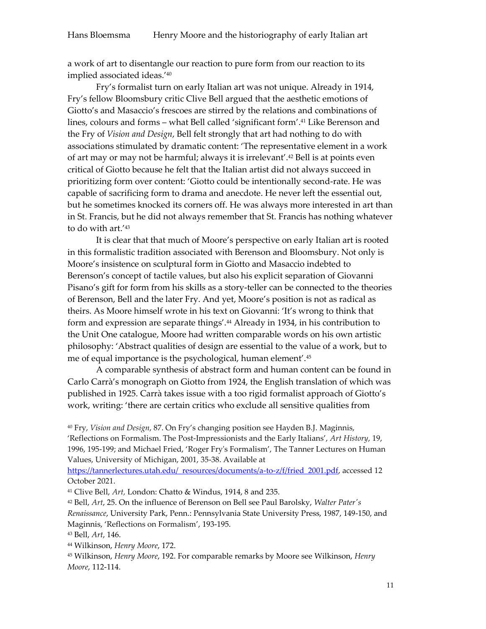a work of art to disentangle our reaction to pure form from our reaction to its implied associated ideas.'<sup>40</sup>

Fry's formalist turn on early Italian art was not unique. Already in 1914, Fry's fellow Bloomsbury critic Clive Bell argued that the aesthetic emotions of Giotto's and Masaccio's frescoes are stirred by the relations and combinations of lines, colours and forms – what Bell called 'significant form'. <sup>41</sup> Like Berenson and the Fry of *Vision and Design*, Bell felt strongly that art had nothing to do with associations stimulated by dramatic content: 'The representative element in a work of art may or may not be harmful; always it is irrelevant'.<sup>42</sup> Bell is at points even critical of Giotto because he felt that the Italian artist did not always succeed in prioritizing form over content: 'Giotto could be intentionally second-rate. He was capable of sacrificing form to drama and anecdote. He never left the essential out, but he sometimes knocked its corners off. He was always more interested in art than in St. Francis, but he did not always remember that St. Francis has nothing whatever to do with art.'<sup>43</sup>

It is clear that that much of Moore's perspective on early Italian art is rooted in this formalistic tradition associated with Berenson and Bloomsbury. Not only is Moore's insistence on sculptural form in Giotto and Masaccio indebted to Berenson's concept of tactile values, but also his explicit separation of Giovanni Pisano's gift for form from his skills as a story-teller can be connected to the theories of Berenson, Bell and the later Fry. And yet, Moore's position is not as radical as theirs. As Moore himself wrote in his text on Giovanni: 'It's wrong to think that form and expression are separate things'.<sup>44</sup> Already in 1934, in his contribution to the Unit One catalogue, Moore had written comparable words on his own artistic philosophy: 'Abstract qualities of design are essential to the value of a work, but to me of equal importance is the psychological, human element'.<sup>45</sup>

A comparable synthesis of abstract form and human content can be found in Carlo Carrà's monograph on Giotto from 1924, the English translation of which was published in 1925. Carrà takes issue with a too rigid formalist approach of Giotto's work, writing: 'there are certain critics who exclude all sensitive qualities from

<sup>40</sup> Fry, *Vision and Design*, 87. On Fry's changing position see Hayden B.J. Maginnis, 'Reflections on Formalism. The Post-Impressionists and the Early Italians', *Art History*, 19, 1996, 195-199; and Michael Fried, 'Roger Fry's Formalism', The Tanner Lectures on Human Values, University of Michigan, 2001, 35-38. Available at

[https://tannerlectures.utah.edu/\\_resources/documents/a-to-z/f/fried\\_2001.pdf,](https://tannerlectures.utah.edu/_resources/documents/a-to-z/f/fried_2001.pdf) accessed 12 October 2021.

<sup>41</sup> Clive Bell, *Art,* London: Chatto & Windus, 1914, 8 and 235.

<sup>42</sup> Bell, *Art*, 25. On the influence of Berenson on Bell see Paul Barolsky, *Walter Pater's Renaissance*, University Park, Penn.: Pennsylvania State University Press, 1987, 149-150, and Maginnis, 'Reflections on Formalism', 193-195.

<sup>43</sup> Bell, *Art*, 146.

<sup>44</sup> Wilkinson, *Henry Moore*, 172.

<sup>45</sup> Wilkinson, *Henry Moore*, 192. For comparable remarks by Moore see Wilkinson, *Henry Moore*, 112-114.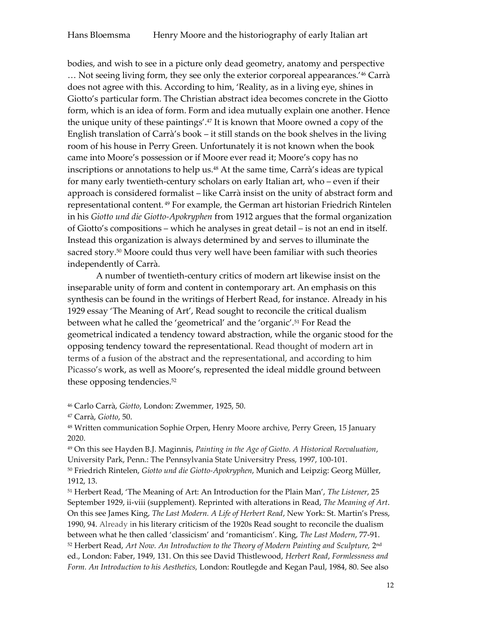bodies, and wish to see in a picture only dead geometry, anatomy and perspective … Not seeing living form, they see only the exterior corporeal appearances.'<sup>46</sup> Carrà does not agree with this. According to him, 'Reality, as in a living eye, shines in Giotto's particular form. The Christian abstract idea becomes concrete in the Giotto form, which is an idea of form. Form and idea mutually explain one another. Hence the unique unity of these paintings'.<sup>47</sup> It is known that Moore owned a copy of the English translation of Carrà's book – it still stands on the book shelves in the living room of his house in Perry Green. Unfortunately it is not known when the book came into Moore's possession or if Moore ever read it; Moore's copy has no inscriptions or annotations to help us.<sup>48</sup> At the same time, Carrà's ideas are typical for many early twentieth-century scholars on early Italian art, who – even if their approach is considered formalist – like Carrà insist on the unity of abstract form and representational content. <sup>49</sup> For example, the German art historian Friedrich Rintelen in his *Giotto und die Giotto-Apokryphen* from 1912 argues that the formal organization of Giotto's compositions – which he analyses in great detail – is not an end in itself. Instead this organization is always determined by and serves to illuminate the sacred story.<sup>50</sup> Moore could thus very well have been familiar with such theories independently of Carrà.

A number of twentieth-century critics of modern art likewise insist on the inseparable unity of form and content in contemporary art. An emphasis on this synthesis can be found in the writings of Herbert Read, for instance. Already in his 1929 essay 'The Meaning of Art', Read sought to reconcile the critical dualism between what he called the 'geometrical' and the 'organic'.<sup>51</sup> For Read the geometrical indicated a tendency toward abstraction, while the organic stood for the opposing tendency toward the representational. Read thought of modern art in terms of a fusion of the abstract and the representational, and according to him Picasso's work, as well as Moore's, represented the ideal middle ground between these opposing tendencies.<sup>52</sup>

<sup>46</sup> Carlo Carrà, *Giotto*, London: Zwemmer, 1925, 50.

<sup>47</sup> Carrà, *Giotto*, 50.

<sup>48</sup> Written communication Sophie Orpen, Henry Moore archive, Perry Green, 15 January 2020.

<sup>49</sup> On this see Hayden B.J. Maginnis, *Painting in the Age of Giotto. A Historical Reevaluation*, University Park, Penn.: The Pennsylvania State Universitry Press, 1997, 100-101.

<sup>50</sup> Friedrich Rintelen, *Giotto und die Giotto-Apokryphen*, Munich and Leipzig: Georg Müller, 1912, 13.

<sup>51</sup> Herbert Read, 'The Meaning of Art: An Introduction for the Plain Man', *The Listener*, 25 September 1929, ii-viii (supplement). Reprinted with alterations in Read, *The Meaning of Art*. On this see James King, *The Last Modern. A Life of Herbert Read*, New York: St. Martin's Press, 1990, 94. Already in his literary criticism of the 1920s Read sought to reconcile the dualism between what he then called 'classicism' and 'romanticism'. King, *The Last Modern*, 77-91. 52 Herbert Read, Art Now. An Introduction to the Theory of Modern Painting and Sculpture, 2nd ed., London: Faber, 1949, 131. On this see David Thistlewood, *Herbert Read*, *Formlessness and Form. An Introduction to his Aesthetics,* London: Routlegde and Kegan Paul, 1984, 80. See also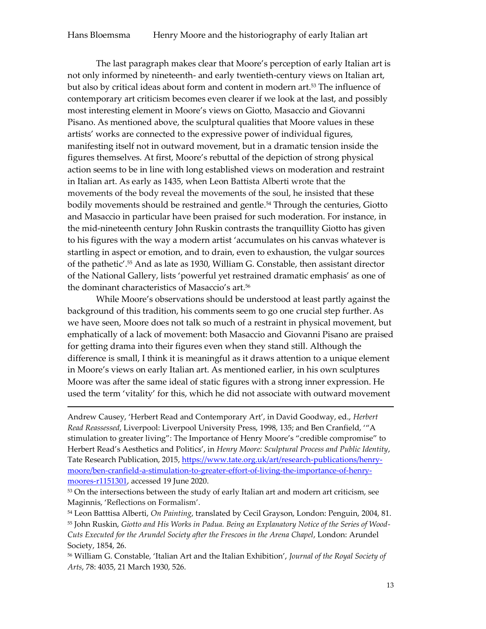The last paragraph makes clear that Moore's perception of early Italian art is not only informed by nineteenth- and early twentieth-century views on Italian art, but also by critical ideas about form and content in modern art.<sup>53</sup> The influence of contemporary art criticism becomes even clearer if we look at the last, and possibly most interesting element in Moore's views on Giotto, Masaccio and Giovanni Pisano. As mentioned above, the sculptural qualities that Moore values in these artists' works are connected to the expressive power of individual figures, manifesting itself not in outward movement, but in a dramatic tension inside the figures themselves. At first, Moore's rebuttal of the depiction of strong physical action seems to be in line with long established views on moderation and restraint in Italian art. As early as 1435, when Leon Battista Alberti wrote that the movements of the body reveal the movements of the soul, he insisted that these bodily movements should be restrained and gentle.<sup>54</sup> Through the centuries, Giotto and Masaccio in particular have been praised for such moderation. For instance, in the mid-nineteenth century John Ruskin contrasts the tranquillity Giotto has given to his figures with the way a modern artist 'accumulates on his canvas whatever is startling in aspect or emotion, and to drain, even to exhaustion, the vulgar sources of the pathetic'.<sup>55</sup> And as late as 1930, William G. Constable, then assistant director of the National Gallery, lists 'powerful yet restrained dramatic emphasis' as one of the dominant characteristics of Masaccio's art.<sup>56</sup>

While Moore's observations should be understood at least partly against the background of this tradition, his comments seem to go one crucial step further.As we have seen, Moore does not talk so much of a restraint in physical movement, but emphatically of a lack of movement: both Masaccio and Giovanni Pisano are praised for getting drama into their figures even when they stand still. Although the difference is small, I think it is meaningful as it draws attention to a unique element in Moore's views on early Italian art. As mentioned earlier, in his own sculptures Moore was after the same ideal of static figures with a strong inner expression. He used the term 'vitality' for this, which he did not associate with outward movement

Andrew Causey, 'Herbert Read and Contemporary Art', in David Goodway, ed., *Herbert Read Reassessed*, Liverpool: Liverpool University Press, 1998, 135; and Ben Cranfield, '"A stimulation to greater living": The Importance of Henry Moore's "credible compromise" to Herbert Read's Aesthetics and Politics', in *Henry Moore: Sculptural Process and Public Identity*, Tate Research Publication, 2015, [https://www.tate.org.uk/art/research-publications/henry](https://www.tate.org.uk/art/research-publications/henry-moore/ben-cranfield-a-stimulation-to-greater-effort-of-living-the-importance-of-henry-moores-r1151301)[moore/ben-cranfield-a-stimulation-to-greater-effort-of-living-the-importance-of-henry](https://www.tate.org.uk/art/research-publications/henry-moore/ben-cranfield-a-stimulation-to-greater-effort-of-living-the-importance-of-henry-moores-r1151301)[moores-r1151301,](https://www.tate.org.uk/art/research-publications/henry-moore/ben-cranfield-a-stimulation-to-greater-effort-of-living-the-importance-of-henry-moores-r1151301) accessed 19 June 2020.

**.** 

<sup>53</sup> On the intersections between the study of early Italian art and modern art criticism, see Maginnis, 'Reflections on Formalism'.

<sup>54</sup> Leon Batttisa Alberti, *On Painting*, translated by Cecil Grayson, London: Penguin, 2004, 81. <sup>55</sup> John Ruskin, *Giotto and His Works in Padua. Being an Explanatory Notice of the Series of Wood-Cuts Executed for the Arundel Society after the Frescoes in the Arena Chapel*, London: Arundel Society, 1854, 26.

<sup>56</sup> William G. Constable, 'Italian Art and the Italian Exhibition', *Journal of the Royal Society of Arts*, 78: 4035, 21 March 1930, 526.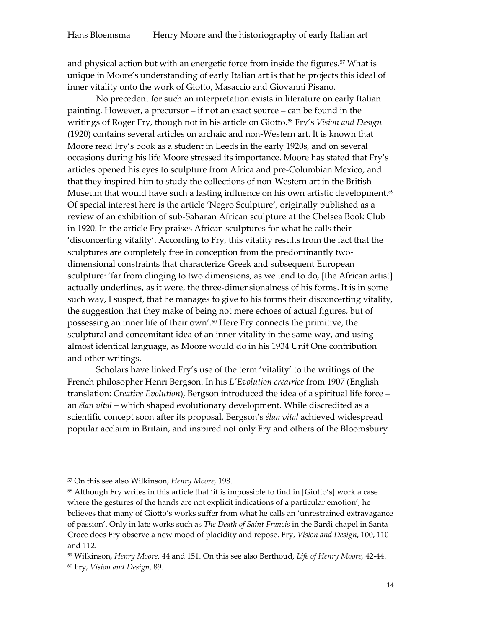and physical action but with an energetic force from inside the figures.<sup>57</sup> What is unique in Moore's understanding of early Italian art is that he projects this ideal of inner vitality onto the work of Giotto, Masaccio and Giovanni Pisano.

No precedent for such an interpretation exists in literature on early Italian painting. However, a precursor – if not an exact source – can be found in the writings of Roger Fry, though not in his article on Giotto.<sup>58</sup> Fry's *Vision and Design* (1920) contains several articles on archaic and non-Western art. It is known that Moore read Fry's book as a student in Leeds in the early 1920s, and on several occasions during his life Moore stressed its importance. Moore has stated that Fry's articles opened his eyes to sculpture from Africa and pre-Columbian Mexico, and that they inspired him to study the collections of non-Western art in the British Museum that would have such a lasting influence on his own artistic development.<sup>59</sup> Of special interest here is the article 'Negro Sculpture', originally published as a review of an exhibition of sub-Saharan African sculpture at the Chelsea Book Club in 1920. In the article Fry praises African sculptures for what he calls their 'disconcerting vitality'. According to Fry, this vitality results from the fact that the sculptures are completely free in conception from the predominantly twodimensional constraints that characterize Greek and subsequent European sculpture: 'far from clinging to two dimensions, as we tend to do, [the African artist] actually underlines, as it were, the three-dimensionalness of his forms. It is in some such way, I suspect, that he manages to give to his forms their disconcerting vitality, the suggestion that they make of being not mere echoes of actual figures, but of possessing an inner life of their own'.<sup>60</sup> Here Fry connects the primitive, the sculptural and concomitant idea of an inner vitality in the same way, and using almost identical language, as Moore would do in his 1934 Unit One contribution and other writings.

Scholars have linked Fry's use of the term 'vitality' to the writings of the French philosopher Henri Bergson. In his *L'Évolution créatrice* from 1907 (English translation: *Creative Evolution*), Bergson introduced the idea of a spiritual life force – an *élan vital* – which shaped evolutionary development. While discredited as a scientific concept soon after its proposal, Bergson's *élan vital* achieved widespread popular acclaim in Britain, and inspired not only Fry and others of the Bloomsbury

<sup>57</sup> On this see also Wilkinson, *Henry Moore*, 198.

<sup>58</sup> Although Fry writes in this article that 'it is impossible to find in [Giotto's] work a case where the gestures of the hands are not explicit indications of a particular emotion', he believes that many of Giotto's works suffer from what he calls an 'unrestrained extravagance of passion'. Only in late works such as *The Death of Saint Francis* in the Bardi chapel in Santa Croce does Fry observe a new mood of placidity and repose. Fry, *Vision and Design*, 100, 110 and 112**.**

<sup>59</sup> Wilkinson, *Henry Moore*, 44 and 151. On this see also Berthoud, *Life of Henry Moore,* 42-44. <sup>60</sup> Fry, *Vision and Design*, 89.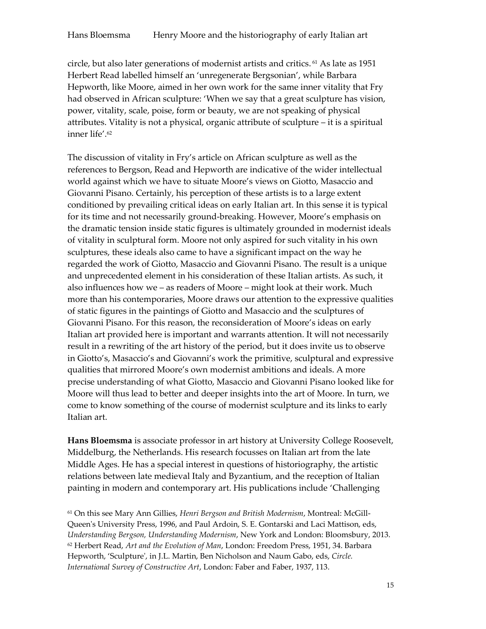circle, but also later generations of modernist artists and critics. <sup>61</sup> As late as 1951 Herbert Read labelled himself an 'unregenerate Bergsonian', while Barbara Hepworth, like Moore, aimed in her own work for the same inner vitality that Fry had observed in African sculpture: 'When we say that a great sculpture has vision, power, vitality, scale, poise, form or beauty, we are not speaking of physical attributes. Vitality is not a physical, organic attribute of sculpture – it is a spiritual inner life'.<sup>62</sup>

The discussion of vitality in Fry's article on African sculpture as well as the references to Bergson, Read and Hepworth are indicative of the wider intellectual world against which we have to situate Moore's views on Giotto, Masaccio and Giovanni Pisano. Certainly, his perception of these artists is to a large extent conditioned by prevailing critical ideas on early Italian art. In this sense it is typical for its time and not necessarily ground-breaking. However, Moore's emphasis on the dramatic tension inside static figures is ultimately grounded in modernist ideals of vitality in sculptural form. Moore not only aspired for such vitality in his own sculptures, these ideals also came to have a significant impact on the way he regarded the work of Giotto, Masaccio and Giovanni Pisano. The result is a unique and unprecedented element in his consideration of these Italian artists. As such, it also influences how we – as readers of Moore – might look at their work. Much more than his contemporaries, Moore draws our attention to the expressive qualities of static figures in the paintings of Giotto and Masaccio and the sculptures of Giovanni Pisano. For this reason, the reconsideration of Moore's ideas on early Italian art provided here is important and warrants attention. It will not necessarily result in a rewriting of the art history of the period, but it does invite us to observe in Giotto's, Masaccio's and Giovanni's work the primitive, sculptural and expressive qualities that mirrored Moore's own modernist ambitions and ideals. A more precise understanding of what Giotto, Masaccio and Giovanni Pisano looked like for Moore will thus lead to better and deeper insights into the art of Moore. In turn, we come to know something of the course of modernist sculpture and its links to early Italian art.

**Hans Bloemsma** is associate professor in art history at University College Roosevelt, Middelburg, the Netherlands. His research focusses on Italian art from the late Middle Ages. He has a special interest in questions of historiography, the artistic relations between late medieval Italy and Byzantium, and the reception of Italian painting in modern and contemporary art. His publications include 'Challenging

<sup>61</sup> On this see Mary Ann Gillies, *Henri Bergson and British Modernism*, Montreal: McGill-Queen's University Press, 1996, and Paul Ardoin, S. E. Gontarski and Laci Mattison, eds, *Understanding Bergson, Understanding Modernism*, New York and London: Bloomsbury, 2013. <sup>62</sup> Herbert Read, *Art and the Evolution of Man*, London: Freedom Press, 1951, 34. Barbara Hepworth, 'Sculpture', in J.L. Martin, Ben Nicholson and Naum Gabo, eds, *Circle. International Survey of Constructive Art*, London: Faber and Faber, 1937, 113.